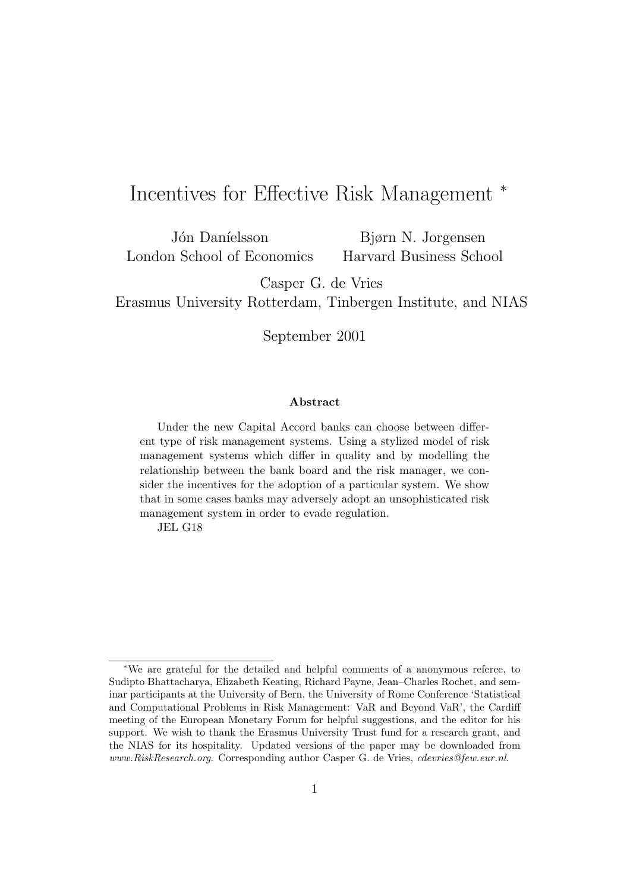# Incentives for Effective Risk Management <sup>∗</sup>

Jón Daníelsson London School of Economics

Bjørn N. Jorgensen Harvard Business School

Casper G. de Vries

Erasmus University Rotterdam, Tinbergen Institute, and NIAS

September 2001

#### **Abstract**

Under the new Capital Accord banks can choose between different type of risk management systems. Using a stylized model of risk management systems which differ in quality and by modelling the relationship between the bank board and the risk manager, we consider the incentives for the adoption of a particular system. We show that in some cases banks may adversely adopt an unsophisticated risk management system in order to evade regulation.

JEL G18

<sup>∗</sup>We are grateful for the detailed and helpful comments of a anonymous referee, to Sudipto Bhattacharya, Elizabeth Keating, Richard Payne, Jean–Charles Rochet, and seminar participants at the University of Bern, the University of Rome Conference 'Statistical and Computational Problems in Risk Management: VaR and Beyond VaR', the Cardiff meeting of the European Monetary Forum for helpful suggestions, and the editor for his support. We wish to thank the Erasmus University Trust fund for a research grant, and the NIAS for its hospitality. Updated versions of the paper may be downloaded from www.RiskResearch.org. Corresponding author Casper G. de Vries, cdevries@few.eur.nl.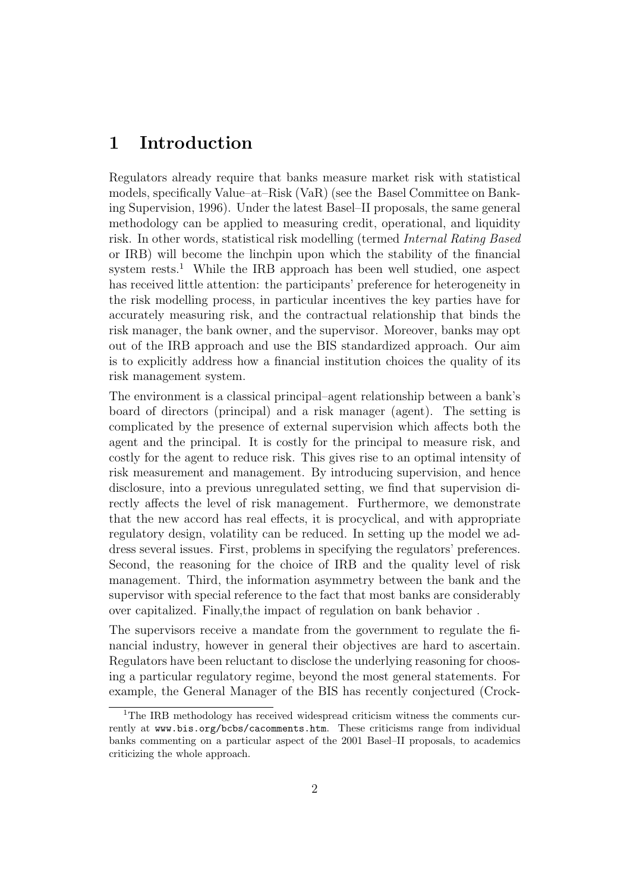## **1 Introduction**

Regulators already require that banks measure market risk with statistical models, specifically Value–at–Risk (VaR) (see the Basel Committee on Banking Supervision, 1996). Under the latest Basel–II proposals, the same general methodology can be applied to measuring credit, operational, and liquidity risk. In other words, statistical risk modelling (termed Internal Rating Based or IRB) will become the linchpin upon which the stability of the financial system rests.<sup>1</sup> While the IRB approach has been well studied, one aspect has received little attention: the participants' preference for heterogeneity in the risk modelling process, in particular incentives the key parties have for accurately measuring risk, and the contractual relationship that binds the risk manager, the bank owner, and the supervisor. Moreover, banks may opt out of the IRB approach and use the BIS standardized approach. Our aim is to explicitly address how a financial institution choices the quality of its risk management system.

The environment is a classical principal–agent relationship between a bank's board of directors (principal) and a risk manager (agent). The setting is complicated by the presence of external supervision which affects both the agent and the principal. It is costly for the principal to measure risk, and costly for the agent to reduce risk. This gives rise to an optimal intensity of risk measurement and management. By introducing supervision, and hence disclosure, into a previous unregulated setting, we find that supervision directly affects the level of risk management. Furthermore, we demonstrate that the new accord has real effects, it is procyclical, and with appropriate regulatory design, volatility can be reduced. In setting up the model we address several issues. First, problems in specifying the regulators' preferences. Second, the reasoning for the choice of IRB and the quality level of risk management. Third, the information asymmetry between the bank and the supervisor with special reference to the fact that most banks are considerably over capitalized. Finally,the impact of regulation on bank behavior .

The supervisors receive a mandate from the government to regulate the financial industry, however in general their objectives are hard to ascertain. Regulators have been reluctant to disclose the underlying reasoning for choosing a particular regulatory regime, beyond the most general statements. For example, the General Manager of the BIS has recently conjectured (Crock-

<sup>&</sup>lt;sup>1</sup>The IRB methodology has received widespread criticism witness the comments currently at www.bis.org/bcbs/cacomments.htm. These criticisms range from individual banks commenting on a particular aspect of the 2001 Basel–II proposals, to academics criticizing the whole approach.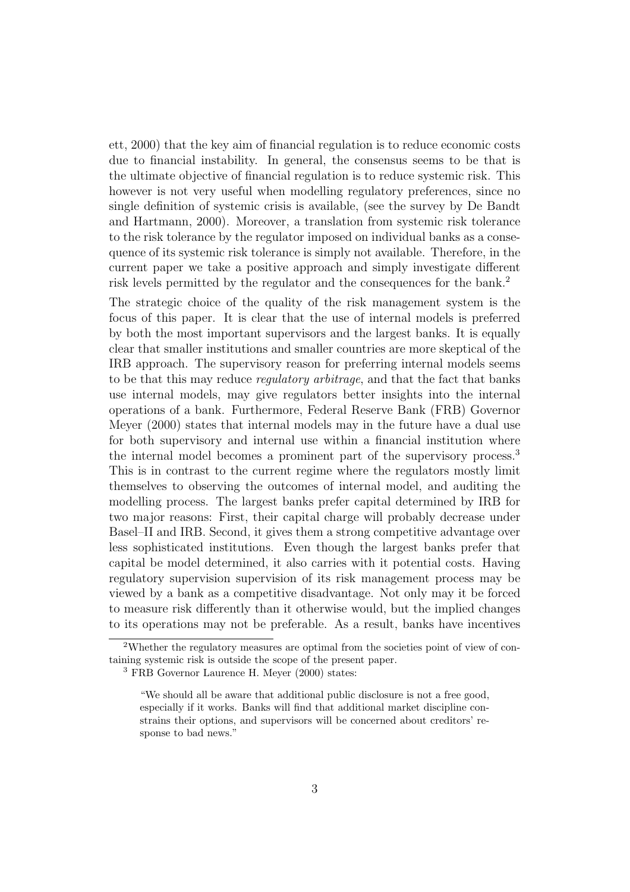ett, 2000) that the key aim of financial regulation is to reduce economic costs due to financial instability. In general, the consensus seems to be that is the ultimate objective of financial regulation is to reduce systemic risk. This however is not very useful when modelling regulatory preferences, since no single definition of systemic crisis is available, (see the survey by De Bandt and Hartmann, 2000). Moreover, a translation from systemic risk tolerance to the risk tolerance by the regulator imposed on individual banks as a consequence of its systemic risk tolerance is simply not available. Therefore, in the current paper we take a positive approach and simply investigate different risk levels permitted by the regulator and the consequences for the bank.<sup>2</sup>

The strategic choice of the quality of the risk management system is the focus of this paper. It is clear that the use of internal models is preferred by both the most important supervisors and the largest banks. It is equally clear that smaller institutions and smaller countries are more skeptical of the IRB approach. The supervisory reason for preferring internal models seems to be that this may reduce regulatory arbitrage, and that the fact that banks use internal models, may give regulators better insights into the internal operations of a bank. Furthermore, Federal Reserve Bank (FRB) Governor Meyer (2000) states that internal models may in the future have a dual use for both supervisory and internal use within a financial institution where the internal model becomes a prominent part of the supervisory process.<sup>3</sup> This is in contrast to the current regime where the regulators mostly limit themselves to observing the outcomes of internal model, and auditing the modelling process. The largest banks prefer capital determined by IRB for two major reasons: First, their capital charge will probably decrease under Basel–II and IRB. Second, it gives them a strong competitive advantage over less sophisticated institutions. Even though the largest banks prefer that capital be model determined, it also carries with it potential costs. Having regulatory supervision supervision of its risk management process may be viewed by a bank as a competitive disadvantage. Not only may it be forced to measure risk differently than it otherwise would, but the implied changes to its operations may not be preferable. As a result, banks have incentives

<sup>2</sup>Whether the regulatory measures are optimal from the societies point of view of containing systemic risk is outside the scope of the present paper.

<sup>3</sup> FRB Governor Laurence H. Meyer (2000) states:

<sup>&</sup>quot;We should all be aware that additional public disclosure is not a free good, especially if it works. Banks will find that additional market discipline constrains their options, and supervisors will be concerned about creditors' response to bad news."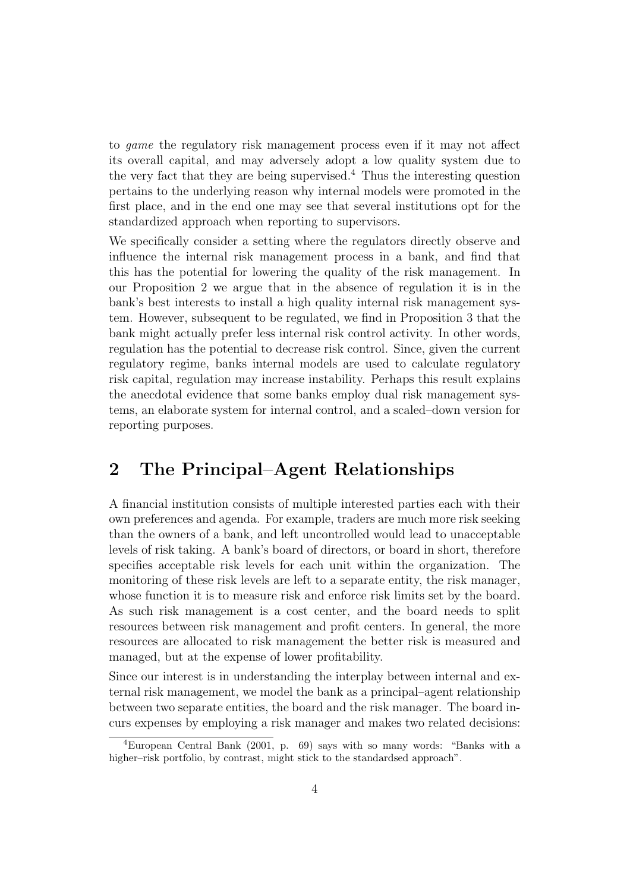to game the regulatory risk management process even if it may not affect its overall capital, and may adversely adopt a low quality system due to the very fact that they are being supervised.<sup>4</sup> Thus the interesting question pertains to the underlying reason why internal models were promoted in the first place, and in the end one may see that several institutions opt for the standardized approach when reporting to supervisors.

We specifically consider a setting where the regulators directly observe and influence the internal risk management process in a bank, and find that this has the potential for lowering the quality of the risk management. In our Proposition 2 we argue that in the absence of regulation it is in the bank's best interests to install a high quality internal risk management system. However, subsequent to be regulated, we find in Proposition 3 that the bank might actually prefer less internal risk control activity. In other words, regulation has the potential to decrease risk control. Since, given the current regulatory regime, banks internal models are used to calculate regulatory risk capital, regulation may increase instability. Perhaps this result explains the anecdotal evidence that some banks employ dual risk management systems, an elaborate system for internal control, and a scaled–down version for reporting purposes.

### **2 The Principal–Agent Relationships**

A financial institution consists of multiple interested parties each with their own preferences and agenda. For example, traders are much more risk seeking than the owners of a bank, and left uncontrolled would lead to unacceptable levels of risk taking. A bank's board of directors, or board in short, therefore specifies acceptable risk levels for each unit within the organization. The monitoring of these risk levels are left to a separate entity, the risk manager, whose function it is to measure risk and enforce risk limits set by the board. As such risk management is a cost center, and the board needs to split resources between risk management and profit centers. In general, the more resources are allocated to risk management the better risk is measured and managed, but at the expense of lower profitability.

Since our interest is in understanding the interplay between internal and external risk management, we model the bank as a principal–agent relationship between two separate entities, the board and the risk manager. The board incurs expenses by employing a risk manager and makes two related decisions:

<sup>4</sup>European Central Bank (2001, p. 69) says with so many words: "Banks with a higher–risk portfolio, by contrast, might stick to the standardsed approach".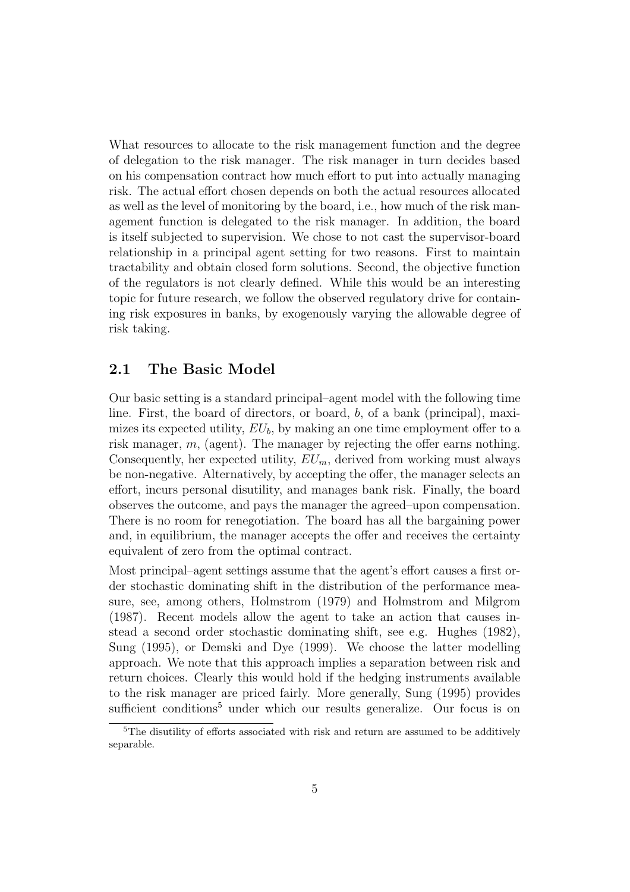What resources to allocate to the risk management function and the degree of delegation to the risk manager. The risk manager in turn decides based on his compensation contract how much effort to put into actually managing risk. The actual effort chosen depends on both the actual resources allocated as well as the level of monitoring by the board, i.e., how much of the risk management function is delegated to the risk manager. In addition, the board is itself subjected to supervision. We chose to not cast the supervisor-board relationship in a principal agent setting for two reasons. First to maintain tractability and obtain closed form solutions. Second, the objective function of the regulators is not clearly defined. While this would be an interesting topic for future research, we follow the observed regulatory drive for containing risk exposures in banks, by exogenously varying the allowable degree of risk taking.

#### **2.1 The Basic Model**

Our basic setting is a standard principal–agent model with the following time line. First, the board of directors, or board, b, of a bank (principal), maximizes its expected utility,  $EU_b$ , by making an one time employment offer to a risk manager, m, (agent). The manager by rejecting the offer earns nothing. Consequently, her expected utility,  $EU_m$ , derived from working must always be non-negative. Alternatively, by accepting the offer, the manager selects an effort, incurs personal disutility, and manages bank risk. Finally, the board observes the outcome, and pays the manager the agreed–upon compensation. There is no room for renegotiation. The board has all the bargaining power and, in equilibrium, the manager accepts the offer and receives the certainty equivalent of zero from the optimal contract.

Most principal–agent settings assume that the agent's effort causes a first order stochastic dominating shift in the distribution of the performance measure, see, among others, Holmstrom (1979) and Holmstrom and Milgrom (1987). Recent models allow the agent to take an action that causes instead a second order stochastic dominating shift, see e.g. Hughes (1982), Sung (1995), or Demski and Dye (1999). We choose the latter modelling approach. We note that this approach implies a separation between risk and return choices. Clearly this would hold if the hedging instruments available to the risk manager are priced fairly. More generally, Sung (1995) provides sufficient conditions<sup>5</sup> under which our results generalize. Our focus is on

<sup>&</sup>lt;sup>5</sup>The disutility of efforts associated with risk and return are assumed to be additively separable.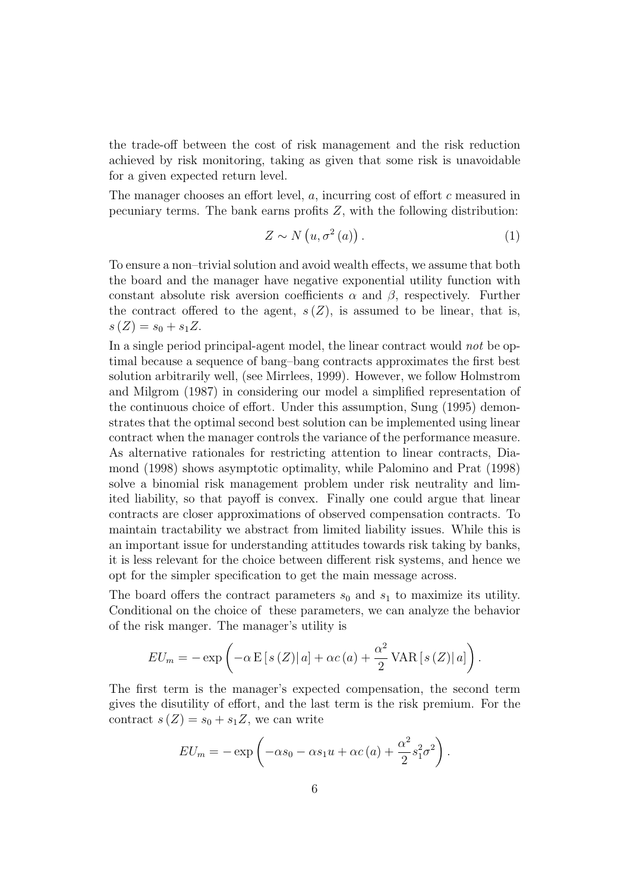the trade-off between the cost of risk management and the risk reduction achieved by risk monitoring, taking as given that some risk is unavoidable for a given expected return level.

The manager chooses an effort level, a, incurring cost of effort c measured in pecuniary terms. The bank earns profits Z, with the following distribution:

$$
Z \sim N\left(u, \sigma^2\left(a\right)\right). \tag{1}
$$

To ensure a non–trivial solution and avoid wealth effects, we assume that both the board and the manager have negative exponential utility function with constant absolute risk aversion coefficients  $\alpha$  and  $\beta$ , respectively. Further the contract offered to the agent,  $s(Z)$ , is assumed to be linear, that is,  $s(Z) = s_0 + s_1 Z.$ 

In a single period principal-agent model, the linear contract would not be optimal because a sequence of bang–bang contracts approximates the first best solution arbitrarily well, (see Mirrlees, 1999). However, we follow Holmstrom and Milgrom (1987) in considering our model a simplified representation of the continuous choice of effort. Under this assumption, Sung (1995) demonstrates that the optimal second best solution can be implemented using linear contract when the manager controls the variance of the performance measure. As alternative rationales for restricting attention to linear contracts, Diamond (1998) shows asymptotic optimality, while Palomino and Prat (1998) solve a binomial risk management problem under risk neutrality and limited liability, so that payoff is convex. Finally one could argue that linear contracts are closer approximations of observed compensation contracts. To maintain tractability we abstract from limited liability issues. While this is an important issue for understanding attitudes towards risk taking by banks, it is less relevant for the choice between different risk systems, and hence we opt for the simpler specification to get the main message across.

The board offers the contract parameters  $s_0$  and  $s_1$  to maximize its utility. Conditional on the choice of these parameters, we can analyze the behavior of the risk manger. The manager's utility is

$$
EU_m = - \exp \left( -\alpha \mathbb{E} \left[ s \left( Z \right) \right] a \right] + \alpha c \left( a \right) + \frac{\alpha^2}{2} \text{VAR} \left[ s \left( Z \right) \right] a \right).
$$

The first term is the manager's expected compensation, the second term gives the disutility of effort, and the last term is the risk premium. For the contract  $s(Z) = s_0 + s_1 Z$ , we can write

$$
EU_m = -\exp\left(-\alpha s_0 - \alpha s_1 u + \alpha c\left(a\right) + \frac{\alpha^2}{2} s_1^2 \sigma^2\right).
$$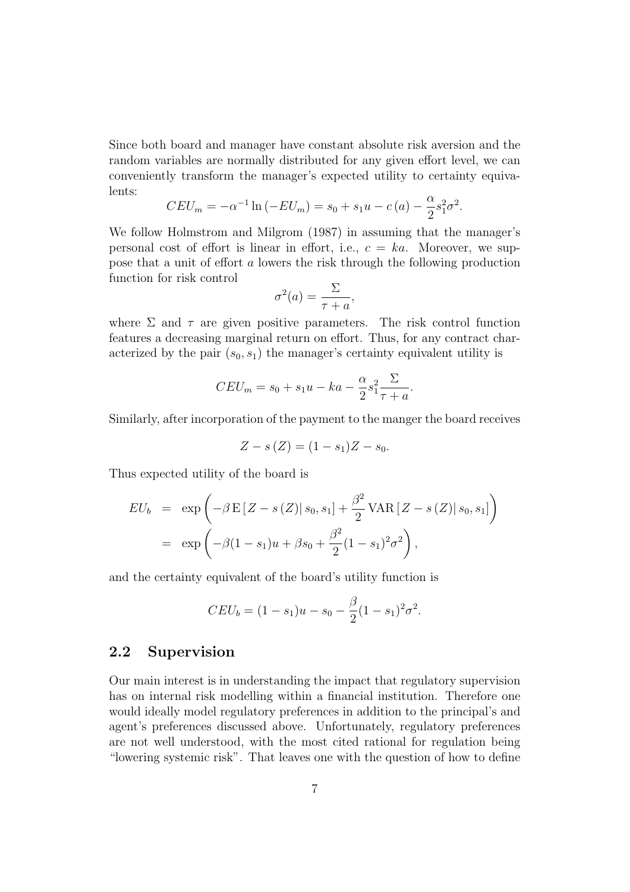Since both board and manager have constant absolute risk aversion and the random variables are normally distributed for any given effort level, we can conveniently transform the manager's expected utility to certainty equivalents:

$$
CEU_m = -\alpha^{-1} \ln (-EU_m) = s_0 + s_1 u - c(a) - \frac{\alpha}{2} s_1^2 \sigma^2.
$$

We follow Holmstrom and Milgrom (1987) in assuming that the manager's personal cost of effort is linear in effort, i.e.,  $c = ka$ . Moreover, we suppose that a unit of effort a lowers the risk through the following production function for risk control

$$
\sigma^2(a) = \frac{\Sigma}{\tau + a},
$$

where  $\Sigma$  and  $\tau$  are given positive parameters. The risk control function features a decreasing marginal return on effort. Thus, for any contract characterized by the pair  $(s_0, s_1)$  the manager's certainty equivalent utility is

$$
CEU_m = s_0 + s_1u - ka - \frac{\alpha}{2}s_1^2 \frac{\Sigma}{\tau + a}.
$$

Similarly, after incorporation of the payment to the manger the board receives

$$
Z - s(Z) = (1 - s_1)Z - s_0.
$$

Thus expected utility of the board is

$$
EU_b = \exp\left(-\beta \mathbf{E}\left[Z - s\left(Z\right)|s_0, s_1\right] + \frac{\beta^2}{2} \text{VAR}\left[Z - s\left(Z\right)|s_0, s_1\right]\right)
$$
  
= 
$$
\exp\left(-\beta(1 - s_1)u + \beta s_0 + \frac{\beta^2}{2}(1 - s_1)^2 \sigma^2\right),
$$

and the certainty equivalent of the board's utility function is

$$
CEU_b = (1 - s_1)u - s_0 - \frac{\beta}{2}(1 - s_1)^2 \sigma^2.
$$

#### **2.2 Supervision**

Our main interest is in understanding the impact that regulatory supervision has on internal risk modelling within a financial institution. Therefore one would ideally model regulatory preferences in addition to the principal's and agent's preferences discussed above. Unfortunately, regulatory preferences are not well understood, with the most cited rational for regulation being "lowering systemic risk". That leaves one with the question of how to define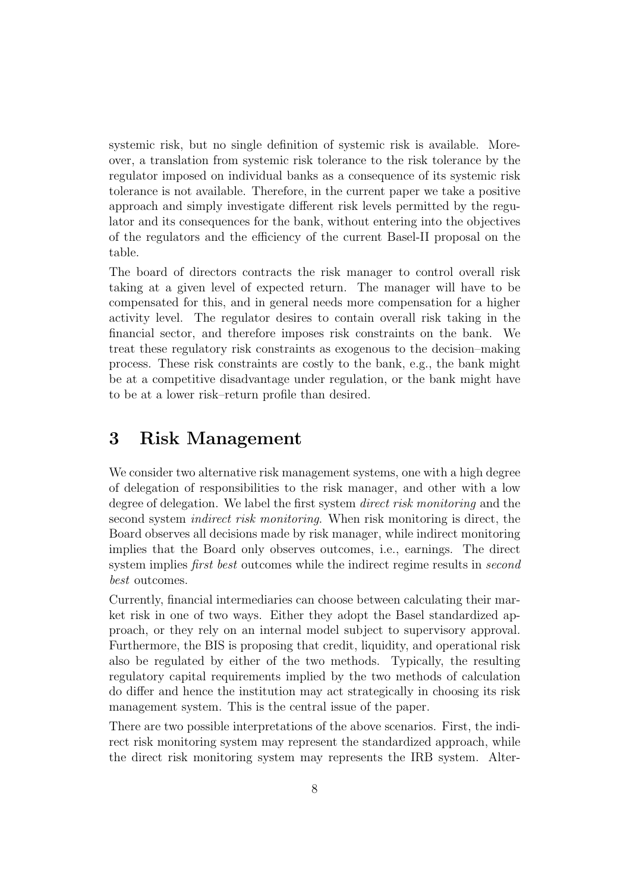systemic risk, but no single definition of systemic risk is available. Moreover, a translation from systemic risk tolerance to the risk tolerance by the regulator imposed on individual banks as a consequence of its systemic risk tolerance is not available. Therefore, in the current paper we take a positive approach and simply investigate different risk levels permitted by the regulator and its consequences for the bank, without entering into the objectives of the regulators and the efficiency of the current Basel-II proposal on the table.

The board of directors contracts the risk manager to control overall risk taking at a given level of expected return. The manager will have to be compensated for this, and in general needs more compensation for a higher activity level. The regulator desires to contain overall risk taking in the financial sector, and therefore imposes risk constraints on the bank. We treat these regulatory risk constraints as exogenous to the decision–making process. These risk constraints are costly to the bank, e.g., the bank might be at a competitive disadvantage under regulation, or the bank might have to be at a lower risk–return profile than desired.

## **3 Risk Management**

We consider two alternative risk management systems, one with a high degree of delegation of responsibilities to the risk manager, and other with a low degree of delegation. We label the first system *direct risk monitoring* and the second system *indirect risk monitoring*. When risk monitoring is direct, the Board observes all decisions made by risk manager, while indirect monitoring implies that the Board only observes outcomes, i.e., earnings. The direct system implies *first best* outcomes while the indirect regime results in *second* best outcomes.

Currently, financial intermediaries can choose between calculating their market risk in one of two ways. Either they adopt the Basel standardized approach, or they rely on an internal model subject to supervisory approval. Furthermore, the BIS is proposing that credit, liquidity, and operational risk also be regulated by either of the two methods. Typically, the resulting regulatory capital requirements implied by the two methods of calculation do differ and hence the institution may act strategically in choosing its risk management system. This is the central issue of the paper.

There are two possible interpretations of the above scenarios. First, the indirect risk monitoring system may represent the standardized approach, while the direct risk monitoring system may represents the IRB system. Alter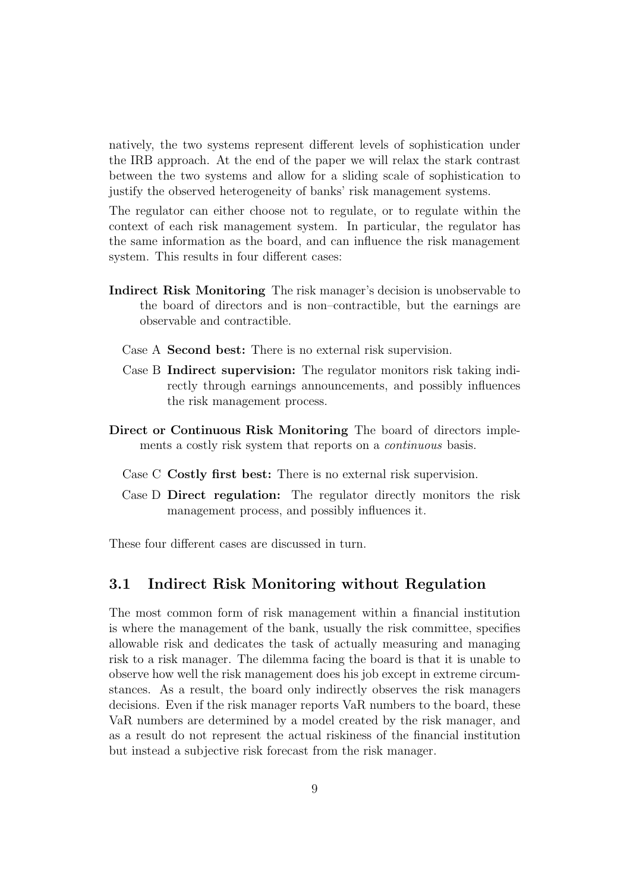natively, the two systems represent different levels of sophistication under the IRB approach. At the end of the paper we will relax the stark contrast between the two systems and allow for a sliding scale of sophistication to justify the observed heterogeneity of banks' risk management systems.

The regulator can either choose not to regulate, or to regulate within the context of each risk management system. In particular, the regulator has the same information as the board, and can influence the risk management system. This results in four different cases:

- **Indirect Risk Monitoring** The risk manager's decision is unobservable to the board of directors and is non–contractible, but the earnings are observable and contractible.
	- Case A **Second best:** There is no external risk supervision.
	- Case B **Indirect supervision:** The regulator monitors risk taking indirectly through earnings announcements, and possibly influences the risk management process.
- **Direct or Continuous Risk Monitoring** The board of directors implements a costly risk system that reports on a *continuous* basis.
	- Case C **Costly first best:** There is no external risk supervision.
	- Case D **Direct regulation:** The regulator directly monitors the risk management process, and possibly influences it.

These four different cases are discussed in turn.

#### **3.1 Indirect Risk Monitoring without Regulation**

The most common form of risk management within a financial institution is where the management of the bank, usually the risk committee, specifies allowable risk and dedicates the task of actually measuring and managing risk to a risk manager. The dilemma facing the board is that it is unable to observe how well the risk management does his job except in extreme circumstances. As a result, the board only indirectly observes the risk managers decisions. Even if the risk manager reports VaR numbers to the board, these VaR numbers are determined by a model created by the risk manager, and as a result do not represent the actual riskiness of the financial institution but instead a subjective risk forecast from the risk manager.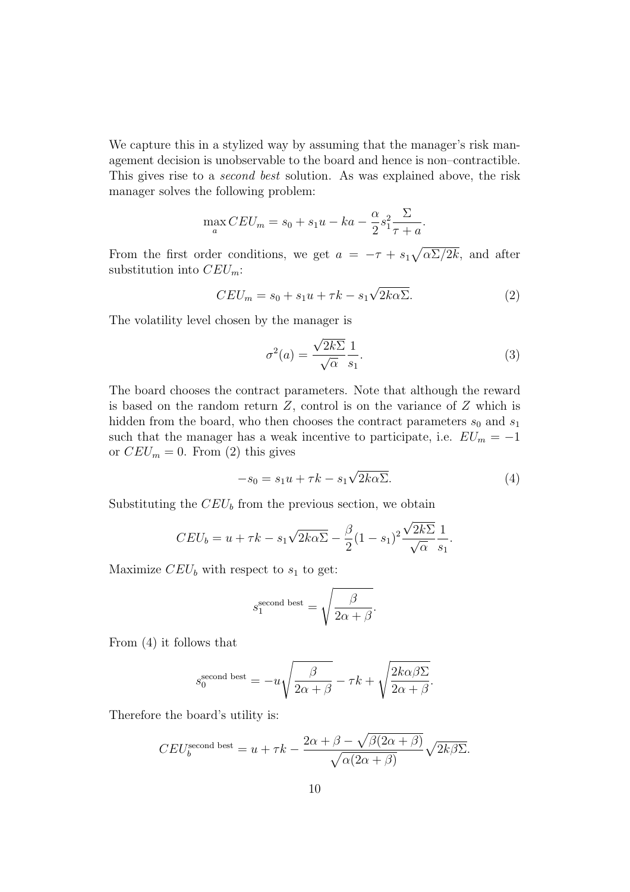We capture this in a stylized way by assuming that the manager's risk management decision is unobservable to the board and hence is non–contractible. This gives rise to a second best solution. As was explained above, the risk manager solves the following problem:

$$
\max_{a} CEU_m = s_0 + s_1u - ka - \frac{\alpha}{2}s_1^2 \frac{\Sigma}{\tau + a}.
$$

From the first order conditions, we get  $a = -\tau + s_1 \sqrt{\alpha \Sigma / 2k}$ , and after substitution into  $CEU_m$ :

$$
CEU_m = s_0 + s_1 u + \tau k - s_1 \sqrt{2k\alpha \Sigma}.
$$
 (2)

The volatility level chosen by the manager is

$$
\sigma^2(a) = \frac{\sqrt{2k\Sigma}}{\sqrt{\alpha}} \frac{1}{s_1}.
$$
\n(3)

The board chooses the contract parameters. Note that although the reward is based on the random return  $Z$ , control is on the variance of  $Z$  which is hidden from the board, who then chooses the contract parameters  $s_0$  and  $s_1$ such that the manager has a weak incentive to participate, i.e.  $EU_m = -1$ or  $CEU_m = 0$ . From (2) this gives

$$
-s_0 = s_1 u + \tau k - s_1 \sqrt{2k\alpha \Sigma}.
$$
 (4)

Substituting the  $CEU<sub>b</sub>$  from the previous section, we obtain

$$
CEU_b = u + \tau k - s_1 \sqrt{2k\alpha} \Sigma - \frac{\beta}{2} (1 - s_1)^2 \frac{\sqrt{2k\sum}}{\sqrt{\alpha}} \frac{1}{s_1}.
$$

Maximize  $CEU<sub>b</sub>$  with respect to  $s<sub>1</sub>$  to get:

$$
s_1^{\text{second best}} = \sqrt{\frac{\beta}{2\alpha + \beta}}.
$$

From (4) it follows that

$$
s_0^{\text{second best}} = -u\sqrt{\frac{\beta}{2\alpha + \beta}} - \tau k + \sqrt{\frac{2k\alpha\beta\Sigma}{2\alpha + \beta}}.
$$

Therefore the board's utility is:

$$
CEU_b^{\text{second best}} = u + \tau k - \frac{2\alpha + \beta - \sqrt{\beta(2\alpha + \beta)}}{\sqrt{\alpha(2\alpha + \beta)}} \sqrt{2k\beta\Sigma}.
$$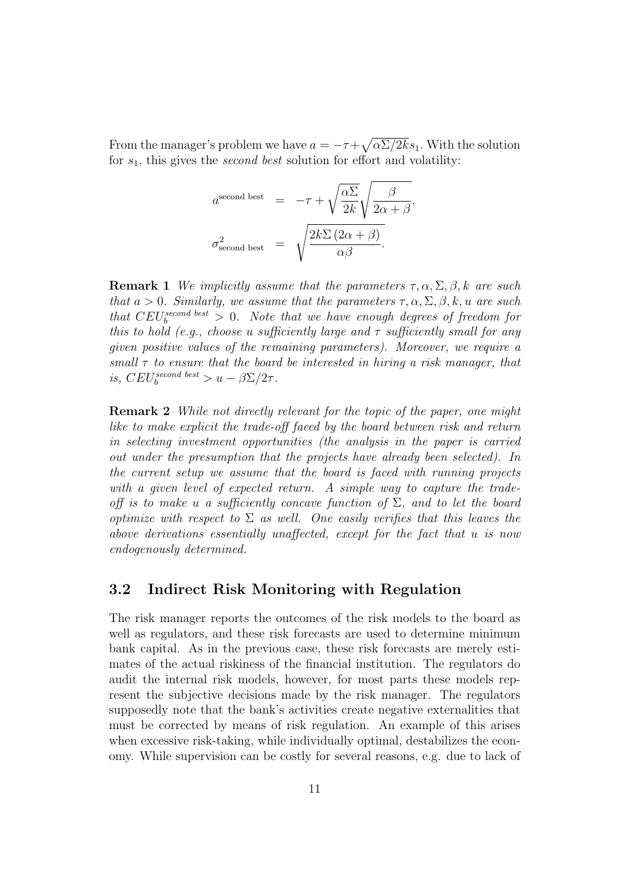From the manager's problem we have  $a = -\tau + \sqrt{\alpha \Sigma / 2k} s_1$ . With the solution for  $s_1$ , this gives the *second best* solution for effort and volatility:

$$
a^{\text{second best}} = -\tau + \sqrt{\frac{\alpha \Sigma}{2k}} \sqrt{\frac{\beta}{2\alpha + \beta}},
$$

$$
\sigma_{\text{second best}}^2 = \sqrt{\frac{2k \Sigma (2\alpha + \beta)}{\alpha \beta}}.
$$

**Remark 1** We implicitly assume that the parameters  $\tau, \alpha, \Sigma, \beta, k$  are such that  $a > 0$ . Similarly, we assume that the parameters  $\tau, \alpha, \Sigma, \beta, k, u$  are such that  $CEU_b^{second best} > 0$ . Note that we have enough degrees of freedom for this to hold (e.g., choose u sufficiently large and  $\tau$  sufficiently small for any given positive values of the remaining parameters). Moreover, we require a small  $\tau$  to ensure that the board be interested in hiring a risk manager, that is,  $CEU_b^{second~best} > u - \beta \Sigma / 2\tau$ .

**Remark 2** While not directly relevant for the topic of the paper, one might like to make explicit the trade-off faced by the board between risk and return in selecting investment opportunities (the analysis in the paper is carried out under the presumption that the projects have already been selected). In the current setup we assume that the board is faced with running projects with a given level of expected return. A simple way to capture the tradeoff is to make u a sufficiently concave function of  $\Sigma$ , and to let the board optimize with respect to  $\Sigma$  as well. One easily verifies that this leaves the above derivations essentially unaffected, except for the fact that u is now endogenously determined.

#### **3.2 Indirect Risk Monitoring with Regulation**

The risk manager reports the outcomes of the risk models to the board as well as regulators, and these risk forecasts are used to determine minimum bank capital. As in the previous case, these risk forecasts are merely estimates of the actual riskiness of the financial institution. The regulators do audit the internal risk models, however, for most parts these models represent the subjective decisions made by the risk manager. The regulators supposedly note that the bank's activities create negative externalities that must be corrected by means of risk regulation. An example of this arises when excessive risk-taking, while individually optimal, destabilizes the economy. While supervision can be costly for several reasons, e.g. due to lack of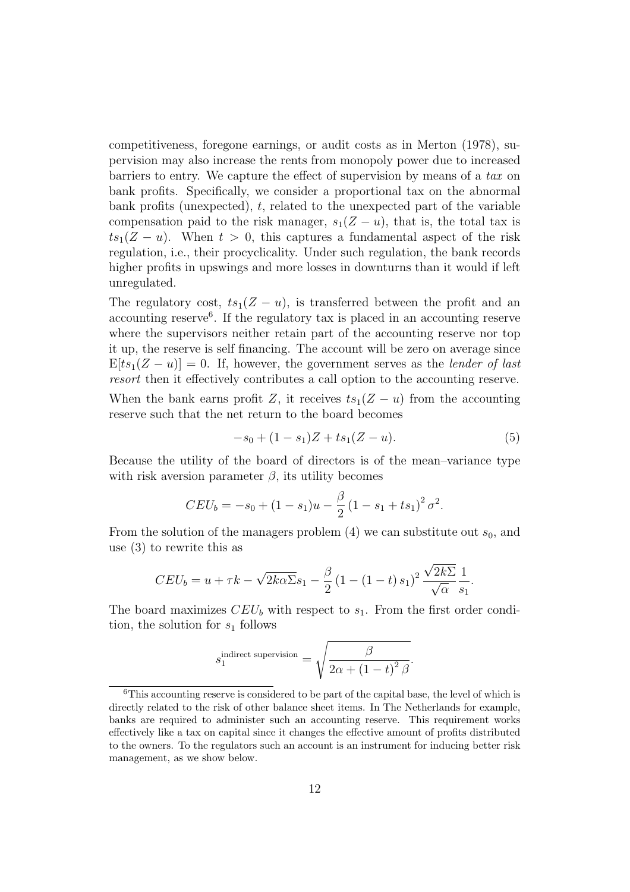competitiveness, foregone earnings, or audit costs as in Merton (1978), supervision may also increase the rents from monopoly power due to increased barriers to entry. We capture the effect of supervision by means of a tax on bank profits. Specifically, we consider a proportional tax on the abnormal bank profits (unexpected),  $t$ , related to the unexpected part of the variable compensation paid to the risk manager,  $s_1(Z - u)$ , that is, the total tax is  $ts_1(Z - u)$ . When  $t > 0$ , this captures a fundamental aspect of the risk regulation, i.e., their procyclicality. Under such regulation, the bank records higher profits in upswings and more losses in downturns than it would if left unregulated.

The regulatory cost,  $ts_1(Z - u)$ , is transferred between the profit and an accounting reserve<sup>6</sup>. If the regulatory tax is placed in an accounting reserve where the supervisors neither retain part of the accounting reserve nor top it up, the reserve is self financing. The account will be zero on average since  $E[ts_1(Z - u)] = 0$ . If, however, the government serves as the lender of last resort then it effectively contributes a call option to the accounting reserve.

When the bank earns profit Z, it receives  $ts_1(Z - u)$  from the accounting reserve such that the net return to the board becomes

$$
-s_0 + (1 - s_1)Z + ts_1(Z - u). \tag{5}
$$

Because the utility of the board of directors is of the mean–variance type with risk aversion parameter  $\beta$ , its utility becomes

$$
CEU_b = -s_0 + (1 - s_1)u - \frac{\beta}{2}(1 - s_1 + ts_1)^2 \sigma^2.
$$

From the solution of the managers problem  $(4)$  we can substitute out  $s_0$ , and use (3) to rewrite this as

$$
CEU_b = u + \tau k - \sqrt{2k\alpha \Sigma} s_1 - \frac{\beta}{2} \left( 1 - (1 - t) s_1 \right)^2 \frac{\sqrt{2k\Sigma}}{\sqrt{\alpha}} \frac{1}{s_1}.
$$

The board maximizes  $CEU<sub>b</sub>$  with respect to  $s<sub>1</sub>$ . From the first order condition, the solution for  $s_1$  follows

$$
s_1^{\text{indirect supervision}} = \sqrt{\frac{\beta}{2\alpha + (1-t)^2 \beta}}.
$$

<sup>6</sup>This accounting reserve is considered to be part of the capital base, the level of which is directly related to the risk of other balance sheet items. In The Netherlands for example, banks are required to administer such an accounting reserve. This requirement works effectively like a tax on capital since it changes the effective amount of profits distributed to the owners. To the regulators such an account is an instrument for inducing better risk management, as we show below.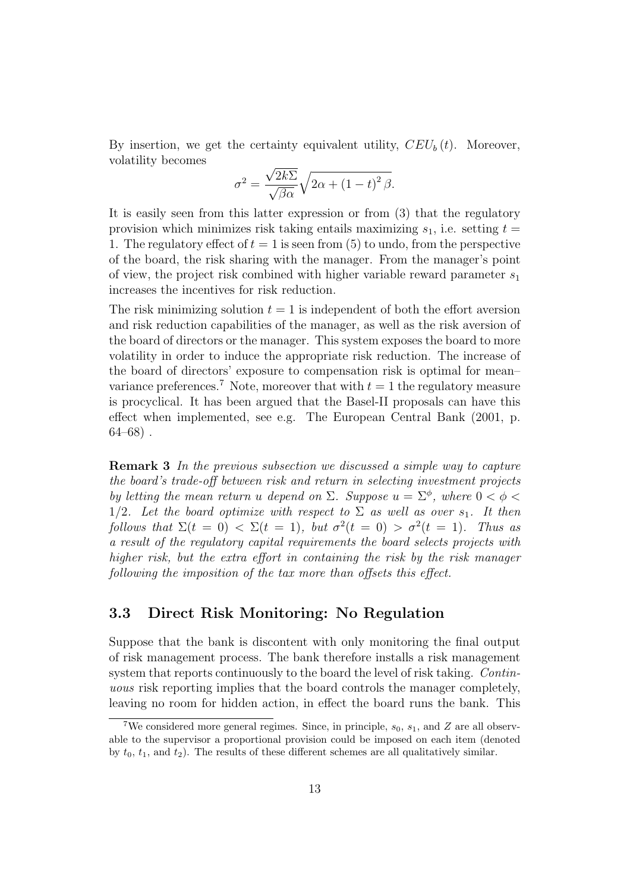By insertion, we get the certainty equivalent utility,  $CEU<sub>b</sub>(t)$ . Moreover, volatility becomes

$$
\sigma^{2} = \frac{\sqrt{2k\Sigma}}{\sqrt{\beta\alpha}}\sqrt{2\alpha + (1-t)^{2}\beta}.
$$

It is easily seen from this latter expression or from (3) that the regulatory provision which minimizes risk taking entails maximizing  $s_1$ , i.e. setting  $t =$ 1. The regulatory effect of  $t = 1$  is seen from (5) to undo, from the perspective of the board, the risk sharing with the manager. From the manager's point of view, the project risk combined with higher variable reward parameter  $s_1$ increases the incentives for risk reduction.

The risk minimizing solution  $t = 1$  is independent of both the effort aversion and risk reduction capabilities of the manager, as well as the risk aversion of the board of directors or the manager. This system exposes the board to more volatility in order to induce the appropriate risk reduction. The increase of the board of directors' exposure to compensation risk is optimal for mean– variance preferences.<sup>7</sup> Note, moreover that with  $t = 1$  the regulatory measure is procyclical. It has been argued that the Basel-II proposals can have this effect when implemented, see e.g. The European Central Bank (2001, p.  $64-68$ ).

**Remark 3** In the previous subsection we discussed a simple way to capture the board's trade-off between risk and return in selecting investment projects by letting the mean return u depend on  $\Sigma$ . Suppose  $u = \Sigma^{\phi}$ , where  $0 < \phi < \phi$ 1/2. Let the board optimize with respect to  $\Sigma$  as well as over  $s_1$ . It then follows that  $\Sigma(t=0) < \Sigma(t=1)$ , but  $\sigma^2(t=0) > \sigma^2(t=1)$ . Thus as a result of the regulatory capital requirements the board selects projects with higher risk, but the extra effort in containing the risk by the risk manager following the imposition of the tax more than offsets this effect.

### **3.3 Direct Risk Monitoring: No Regulation**

Suppose that the bank is discontent with only monitoring the final output of risk management process. The bank therefore installs a risk management system that reports continuously to the board the level of risk taking. Continuous risk reporting implies that the board controls the manager completely, leaving no room for hidden action, in effect the board runs the bank. This

<sup>&</sup>lt;sup>7</sup>We considered more general regimes. Since, in principle,  $s_0$ ,  $s_1$ , and Z are all observable to the supervisor a proportional provision could be imposed on each item (denoted by  $t_0$ ,  $t_1$ , and  $t_2$ ). The results of these different schemes are all qualitatively similar.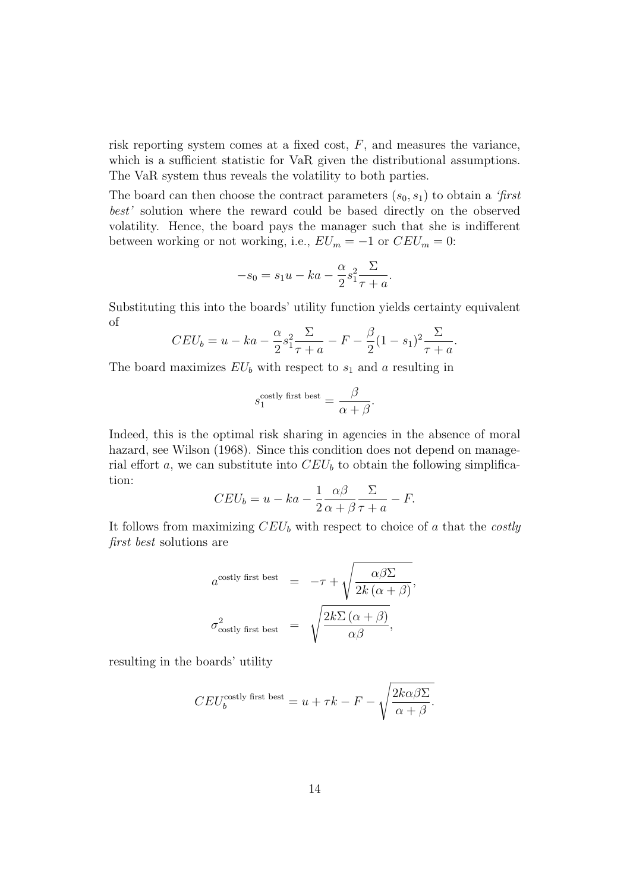risk reporting system comes at a fixed cost,  $F$ , and measures the variance, which is a sufficient statistic for VaR given the distributional assumptions. The VaR system thus reveals the volatility to both parties.

The board can then choose the contract parameters  $(s_0, s_1)$  to obtain a 'first best' solution where the reward could be based directly on the observed volatility. Hence, the board pays the manager such that she is indifferent between working or not working, i.e.,  $EU_m = -1$  or  $CEU_m = 0$ :

$$
-s_0 = s_1 u - ka - \frac{\alpha}{2} s_1^2 \frac{\Sigma}{\tau + a}.
$$

Substituting this into the boards' utility function yields certainty equivalent of

$$
CEU_b = u - ka - \frac{\alpha}{2}s_1^2 \frac{\Sigma}{\tau + a} - F - \frac{\beta}{2}(1 - s_1)^2 \frac{\Sigma}{\tau + a}.
$$

The board maximizes  $EU_b$  with respect to  $s_1$  and a resulting in

$$
s_1^{\text{costly first best}} = \frac{\beta}{\alpha + \beta}.
$$

Indeed, this is the optimal risk sharing in agencies in the absence of moral hazard, see Wilson (1968). Since this condition does not depend on managerial effort a, we can substitute into  $CEU<sub>b</sub>$  to obtain the following simplification:

$$
CEU_b = u - ka - \frac{1}{2} \frac{\alpha \beta}{\alpha + \beta} \frac{\Sigma}{\tau + a} - F.
$$

It follows from maximizing  $CEU<sub>b</sub>$  with respect to choice of a that the costly first best solutions are

$$
a^{\text{costly first best}} = -\tau + \sqrt{\frac{\alpha \beta \Sigma}{2k (\alpha + \beta)}},
$$
  

$$
\sigma_{\text{costly first best}}^2 = \sqrt{\frac{2k \Sigma (\alpha + \beta)}{\alpha \beta}},
$$

resulting in the boards' utility

$$
CEU_b^{\text{costly first best}} = u + \tau k - F - \sqrt{\frac{2k\alpha\beta\Sigma}{\alpha + \beta}}.
$$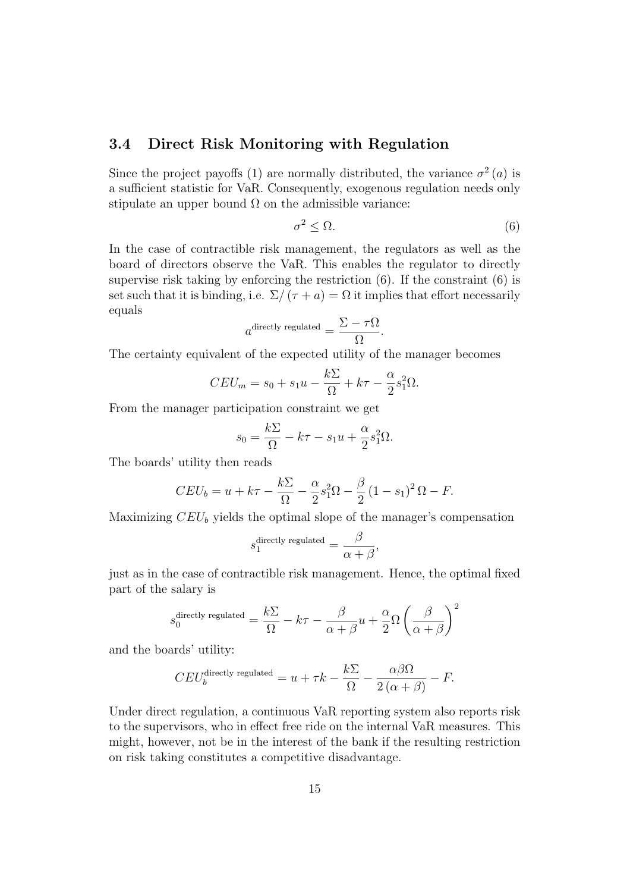#### **3.4 Direct Risk Monitoring with Regulation**

Since the project payoffs (1) are normally distributed, the variance  $\sigma^2(a)$  is a sufficient statistic for VaR. Consequently, exogenous regulation needs only stipulate an upper bound  $\Omega$  on the admissible variance:

$$
\sigma^2 \le \Omega. \tag{6}
$$

In the case of contractible risk management, the regulators as well as the board of directors observe the VaR. This enables the regulator to directly supervise risk taking by enforcing the restriction (6). If the constraint (6) is set such that it is binding, i.e.  $\Sigma/(\tau + a) = \Omega$  it implies that effort necessarily equals

$$
a^{\text{directly regulated}} = \frac{\Sigma - \tau \Omega}{\Omega}.
$$

The certainty equivalent of the expected utility of the manager becomes

$$
CEU_m = s_0 + s_1u - \frac{k\Sigma}{\Omega} + k\tau - \frac{\alpha}{2}s_1^2\Omega.
$$

From the manager participation constraint we get

$$
s_0 = \frac{k\Sigma}{\Omega} - k\tau - s_1 u + \frac{\alpha}{2} s_1^2 \Omega.
$$

The boards' utility then reads

$$
CEU_b = u + k\tau - \frac{k\sum}{\Omega} - \frac{\alpha}{2}s_1^2\Omega - \frac{\beta}{2}(1-s_1)^2\Omega - F.
$$

Maximizing  $CEU<sub>b</sub>$  yields the optimal slope of the manager's compensation

$$
s_1^{\text{directly regulated}} = \frac{\beta}{\alpha + \beta},
$$

just as in the case of contractible risk management. Hence, the optimal fixed part of the salary is

$$
s_0^{\text{directly regulated}} = \frac{k\Sigma}{\Omega} - k\tau - \frac{\beta}{\alpha + \beta}u + \frac{\alpha}{2}\Omega\left(\frac{\beta}{\alpha + \beta}\right)^2
$$

and the boards' utility:

$$
CEU_b^{\text{directly regulated}} = u + \tau k - \frac{k\Sigma}{\Omega} - \frac{\alpha\beta\Omega}{2\left(\alpha + \beta\right)} - F.
$$

Under direct regulation, a continuous VaR reporting system also reports risk to the supervisors, who in effect free ride on the internal VaR measures. This might, however, not be in the interest of the bank if the resulting restriction on risk taking constitutes a competitive disadvantage.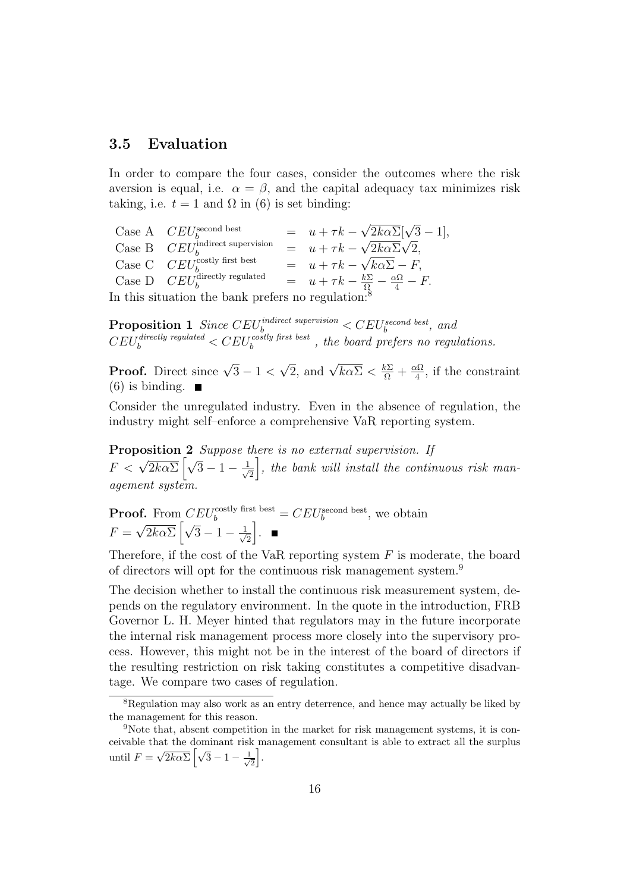#### **3.5 Evaluation**

In order to compare the four cases, consider the outcomes where the risk aversion is equal, i.e.  $\alpha = \beta$ , and the capital adequacy tax minimizes risk taking, i.e.  $t = 1$  and  $\Omega$  in (6) is set binding:

Case A  $CEU_b^{\text{second best}} = u + \tau k - \sqrt{2k\alpha\Sigma}[\sqrt{3} - 1],$ Case B  $CEU_b^{\text{indirect supervision}} = u + \tau k - \sqrt{2k\alpha}\sqrt{2},$ Case C  $CEU_{b}^{\text{costly first best}} = u + \tau k - \sqrt{k\alpha\Sigma} - F,$ Case D  $CEU_b^{\text{directly regulated}} = u + \tau k - \frac{k\sum}{\Omega} - \frac{\alpha \Omega}{4} - F.$ In this situation the bank prefers no reg

**Proposition 1** Since  $CEU_b^{indirect\;supervision} < CEU_b^{second\;best}$ , and  $CEU_b^{directly \, required} < CEU_b^{costly \, first \, best}$ , the board prefers no regulations.

**Proof.** Direct since  $\sqrt{3} - 1 < \sqrt{2}$ , and  $\sqrt{k\alpha\Sigma} < \frac{k\Sigma}{\Omega} + \frac{\alpha\Omega}{4}$ , if the constraint  $(6)$  is binding.  $\blacksquare$ 

Consider the unregulated industry. Even in the absence of regulation, the industry might self–enforce a comprehensive VaR reporting system.

**Proposition 2** Suppose there is no external supervision. If  $F \lt \sqrt{2k\alpha\Sigma} \left[\sqrt{3}-1-\frac{1}{\sqrt{3}}\right]$ 2  $\bigg$ , the bank will install the continuous risk management system.

**Proof.** From  $CEU_b^{\text{costly first best}} = CEU_b^{\text{second best}}$ , we obtain  $F = \sqrt{2k\alpha\Sigma} \left[ \sqrt{3} - 1 - \frac{1}{\sqrt{3}} \right]$ 2 .

Therefore, if the cost of the VaR reporting system  $F$  is moderate, the board of directors will opt for the continuous risk management system.<sup>9</sup>

The decision whether to install the continuous risk measurement system, depends on the regulatory environment. In the quote in the introduction, FRB Governor L. H. Meyer hinted that regulators may in the future incorporate the internal risk management process more closely into the supervisory process. However, this might not be in the interest of the board of directors if the resulting restriction on risk taking constitutes a competitive disadvantage. We compare two cases of regulation.

<sup>8</sup>Regulation may also work as an entry deterrence, and hence may actually be liked by the management for this reason.

<sup>&</sup>lt;sup>9</sup>Note that, absent competition in the market for risk management systems, it is conceivable that the dominant risk management consultant is able to extract all the surplus until  $F = \sqrt{2k\alpha\Sigma} \left[ \sqrt{3} - 1 - \frac{1}{\sqrt{3}} \right]$  $\frac{1}{2}$ .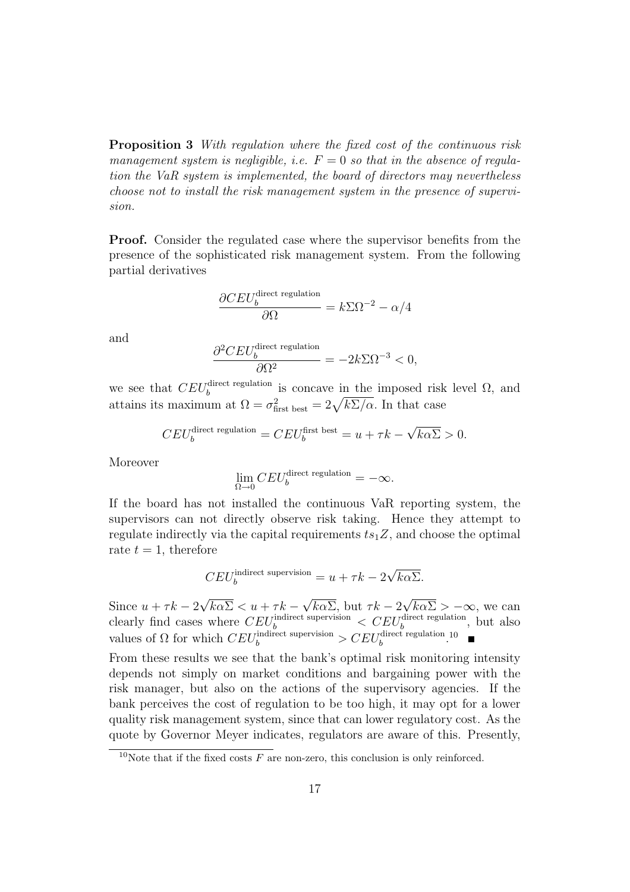**Proposition 3** With regulation where the fixed cost of the continuous risk management system is negligible, i.e.  $F = 0$  so that in the absence of regulation the VaR system is implemented, the board of directors may nevertheless choose not to install the risk management system in the presence of supervision.

**Proof.** Consider the regulated case where the supervisor benefits from the presence of the sophisticated risk management system. From the following partial derivatives

$$
\frac{\partial C E U_b^{\text{direct regulation}}}{\partial \Omega} = k \Sigma \Omega^{-2} - \alpha/4
$$

and

$$
\frac{\partial^2 C E U_b^{\text{direct regulation}}}{\partial \Omega^2} = -2k \Sigma \Omega^{-3} < 0,
$$

we see that  $CEU_b^{\text{direct regulation}}$  is concave in the imposed risk level  $\Omega$ , and attains its maximum at  $\Omega = \sigma_{\text{first best}}^2 = 2\sqrt{k \Sigma / \alpha}$ . In that case

$$
CEU_b^{\text{direct regulation}} = CEU_b^{\text{first best}} = u + \tau k - \sqrt{k \alpha \Sigma} > 0.
$$

Moreover

$$
\lim_{\Omega \to 0} CEU_b^{\text{direct regulation}} = -\infty.
$$

If the board has not installed the continuous VaR reporting system, the supervisors can not directly observe risk taking. Hence they attempt to regulate indirectly via the capital requirements  $ts_1Z$ , and choose the optimal rate  $t = 1$ , therefore

$$
CEU_b^{\text{indirect supervision}} = u + \tau k - 2\sqrt{k\alpha\Sigma}.
$$

Since  $u + \tau k - 2\sqrt{k\alpha\Sigma} < u + \tau k - \sqrt{k\alpha\Sigma}$ , but  $\tau k - 2\sqrt{k\alpha\Sigma} > -\infty$ , we can clearly find cases where  $CEU_b^{\text{indirect supervision}} < CEU_b^{\text{direct regulation}}$ , but also values of  $\Omega$  for which  $CEU_b^{\text{indirect supervision}} > CEU_b^{\text{direct regulation}}$ .

From these results we see that the bank's optimal risk monitoring intensity depends not simply on market conditions and bargaining power with the risk manager, but also on the actions of the supervisory agencies. If the bank perceives the cost of regulation to be too high, it may opt for a lower quality risk management system, since that can lower regulatory cost. As the quote by Governor Meyer indicates, regulators are aware of this. Presently,

<sup>&</sup>lt;sup>10</sup>Note that if the fixed costs  $F$  are non-zero, this conclusion is only reinforced.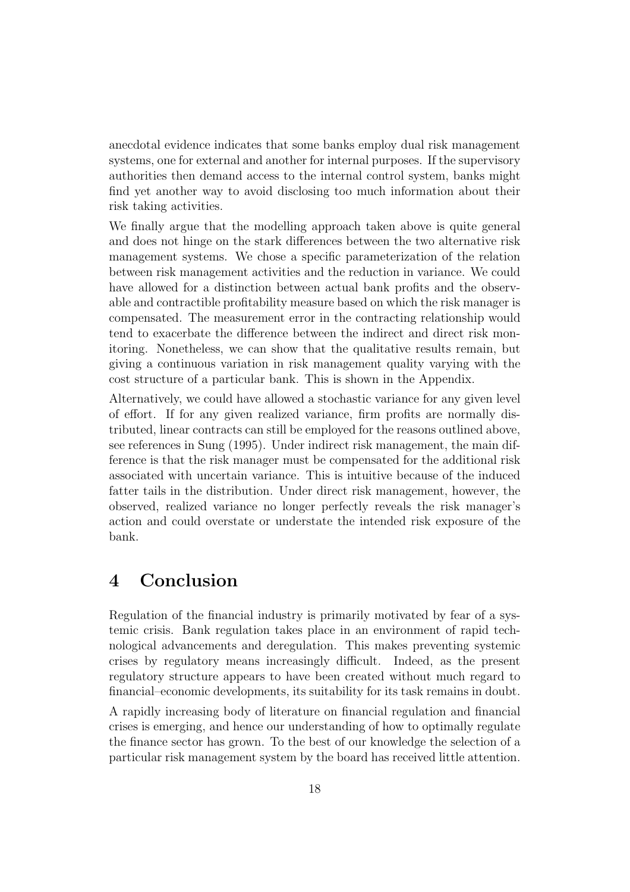anecdotal evidence indicates that some banks employ dual risk management systems, one for external and another for internal purposes. If the supervisory authorities then demand access to the internal control system, banks might find yet another way to avoid disclosing too much information about their risk taking activities.

We finally argue that the modelling approach taken above is quite general and does not hinge on the stark differences between the two alternative risk management systems. We chose a specific parameterization of the relation between risk management activities and the reduction in variance. We could have allowed for a distinction between actual bank profits and the observable and contractible profitability measure based on which the risk manager is compensated. The measurement error in the contracting relationship would tend to exacerbate the difference between the indirect and direct risk monitoring. Nonetheless, we can show that the qualitative results remain, but giving a continuous variation in risk management quality varying with the cost structure of a particular bank. This is shown in the Appendix.

Alternatively, we could have allowed a stochastic variance for any given level of effort. If for any given realized variance, firm profits are normally distributed, linear contracts can still be employed for the reasons outlined above, see references in Sung (1995). Under indirect risk management, the main difference is that the risk manager must be compensated for the additional risk associated with uncertain variance. This is intuitive because of the induced fatter tails in the distribution. Under direct risk management, however, the observed, realized variance no longer perfectly reveals the risk manager's action and could overstate or understate the intended risk exposure of the bank.

### **4 Conclusion**

Regulation of the financial industry is primarily motivated by fear of a systemic crisis. Bank regulation takes place in an environment of rapid technological advancements and deregulation. This makes preventing systemic crises by regulatory means increasingly difficult. Indeed, as the present regulatory structure appears to have been created without much regard to financial–economic developments, its suitability for its task remains in doubt.

A rapidly increasing body of literature on financial regulation and financial crises is emerging, and hence our understanding of how to optimally regulate the finance sector has grown. To the best of our knowledge the selection of a particular risk management system by the board has received little attention.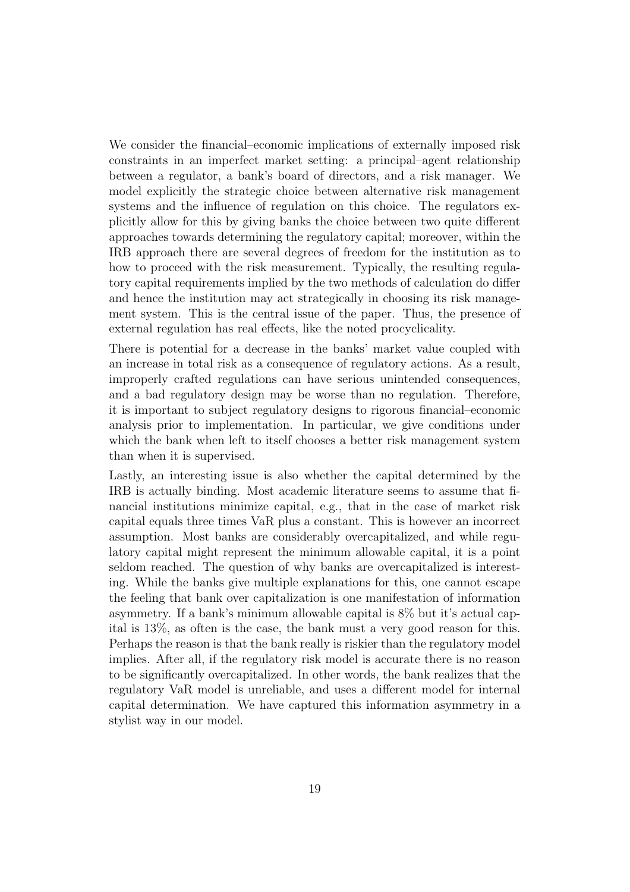We consider the financial–economic implications of externally imposed risk constraints in an imperfect market setting: a principal–agent relationship between a regulator, a bank's board of directors, and a risk manager. We model explicitly the strategic choice between alternative risk management systems and the influence of regulation on this choice. The regulators explicitly allow for this by giving banks the choice between two quite different approaches towards determining the regulatory capital; moreover, within the IRB approach there are several degrees of freedom for the institution as to how to proceed with the risk measurement. Typically, the resulting regulatory capital requirements implied by the two methods of calculation do differ and hence the institution may act strategically in choosing its risk management system. This is the central issue of the paper. Thus, the presence of external regulation has real effects, like the noted procyclicality.

There is potential for a decrease in the banks' market value coupled with an increase in total risk as a consequence of regulatory actions. As a result, improperly crafted regulations can have serious unintended consequences, and a bad regulatory design may be worse than no regulation. Therefore, it is important to subject regulatory designs to rigorous financial–economic analysis prior to implementation. In particular, we give conditions under which the bank when left to itself chooses a better risk management system than when it is supervised.

Lastly, an interesting issue is also whether the capital determined by the IRB is actually binding. Most academic literature seems to assume that financial institutions minimize capital, e.g., that in the case of market risk capital equals three times VaR plus a constant. This is however an incorrect assumption. Most banks are considerably overcapitalized, and while regulatory capital might represent the minimum allowable capital, it is a point seldom reached. The question of why banks are overcapitalized is interesting. While the banks give multiple explanations for this, one cannot escape the feeling that bank over capitalization is one manifestation of information asymmetry. If a bank's minimum allowable capital is 8% but it's actual capital is 13%, as often is the case, the bank must a very good reason for this. Perhaps the reason is that the bank really is riskier than the regulatory model implies. After all, if the regulatory risk model is accurate there is no reason to be significantly overcapitalized. In other words, the bank realizes that the regulatory VaR model is unreliable, and uses a different model for internal capital determination. We have captured this information asymmetry in a stylist way in our model.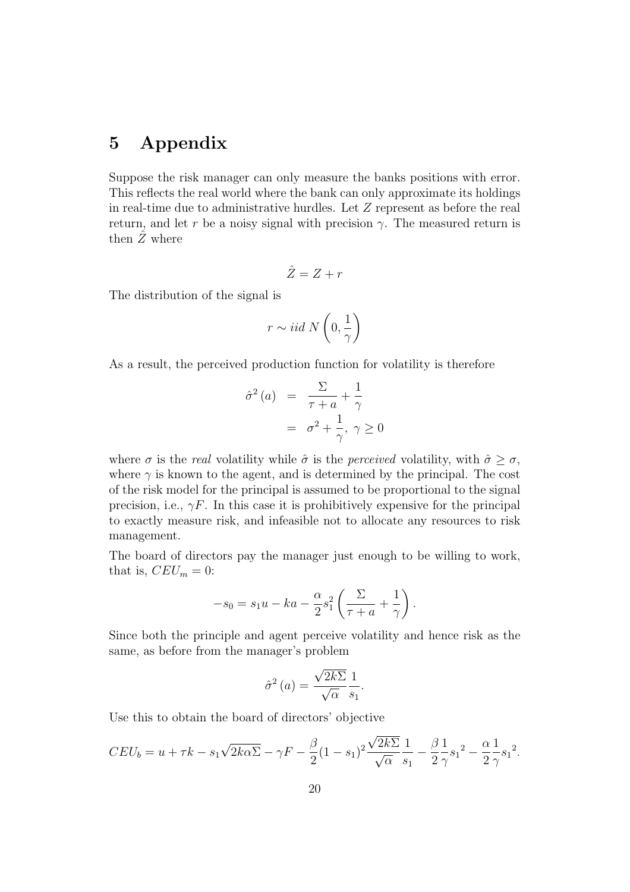## **5 Appendix**

Suppose the risk manager can only measure the banks positions with error. This reflects the real world where the bank can only approximate its holdings in real-time due to administrative hurdles. Let  $Z$  represent as before the real return, and let r be a noisy signal with precision  $\gamma$ . The measured return is then  $\hat{Z}$  where

$$
\hat{Z} = Z + r
$$

The distribution of the signal is

$$
r \sim iid \; N\left(0,\frac{1}{\gamma}\right)
$$

As a result, the perceived production function for volatility is therefore

$$
\hat{\sigma}^2(a) = \frac{\Sigma}{\tau + a} + \frac{1}{\gamma}
$$

$$
= \sigma^2 + \frac{1}{\gamma}, \ \gamma \ge 0
$$

where  $\sigma$  is the real volatility while  $\hat{\sigma}$  is the perceived volatility, with  $\hat{\sigma} > \sigma$ , where  $\gamma$  is known to the agent, and is determined by the principal. The cost of the risk model for the principal is assumed to be proportional to the signal precision, i.e.,  $\gamma F$ . In this case it is prohibitively expensive for the principal to exactly measure risk, and infeasible not to allocate any resources to risk management.

The board of directors pay the manager just enough to be willing to work, that is,  $CEU_m = 0$ :

$$
-s_0 = s_1 u - ka - \frac{\alpha}{2} s_1^2 \left( \frac{\Sigma}{\tau + a} + \frac{1}{\gamma} \right).
$$

Since both the principle and agent perceive volatility and hence risk as the same, as before from the manager's problem

$$
\hat{\sigma}^2(a) = \frac{\sqrt{2k\sum 1}{\sqrt{\alpha}}}{1 \over s_1}.
$$

Use this to obtain the board of directors' objective

$$
CEU_b = u + \tau k - s_1 \sqrt{2k\alpha} \overline{\Sigma} - \gamma F - \frac{\beta}{2} (1 - s_1)^2 \frac{\sqrt{2k\Sigma}}{\sqrt{\alpha}} \frac{1}{s_1} - \frac{\beta}{2} \frac{1}{\gamma} s_1^2 - \frac{\alpha}{2} \frac{1}{\gamma} s_1^2.
$$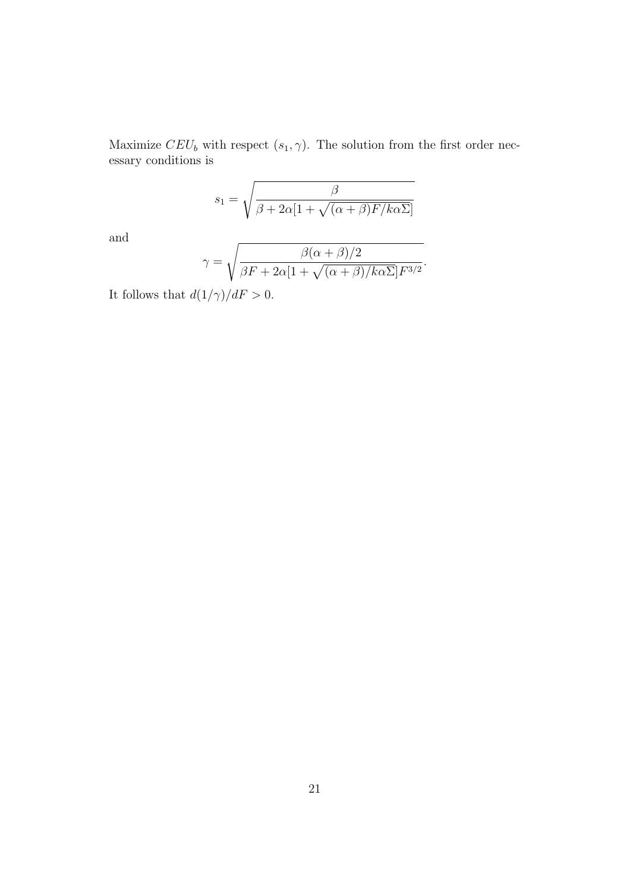Maximize  $CEU_b$  with respect  $(s_1, \gamma)$ . The solution from the first order necessary conditions is

$$
s_1 = \sqrt{\frac{\beta}{\beta + 2\alpha[1 + \sqrt{(\alpha + \beta)F/k\alpha\Sigma}]}}
$$

and

$$
\gamma = \sqrt{\frac{\beta(\alpha + \beta)/2}{\beta F + 2\alpha [1 + \sqrt{(\alpha + \beta)/k\alpha \Sigma}]F^{3/2}}}.
$$

It follows that  $d(1/\gamma)/dF$   $>$  0.